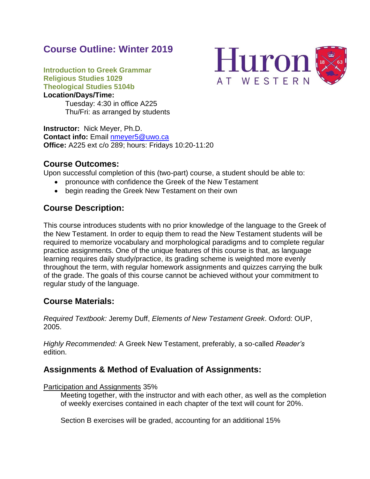# **Course Outline: Winter 2019**



**Introduction to Greek Grammar Religious Studies 1029 Theological Studies 5104b Location/Days/Time:**

Tuesday: 4:30 in office A225 Thu/Fri: as arranged by students

**Instructor:** Nick Meyer, Ph.D. **Contact info:** Email [nmeyer5@uwo.ca](mailto:nmeyer5@uwo.ca) **Office:** A225 ext c/o 289; hours: Fridays 10:20-11:20

## **Course Outcomes:**

Upon successful completion of this (two-part) course, a student should be able to:

- pronounce with confidence the Greek of the New Testament
- begin reading the Greek New Testament on their own

## **Course Description:**

This course introduces students with no prior knowledge of the language to the Greek of the New Testament. In order to equip them to read the New Testament students will be required to memorize vocabulary and morphological paradigms and to complete regular practice assignments. One of the unique features of this course is that, as language learning requires daily study/practice, its grading scheme is weighted more evenly throughout the term, with regular homework assignments and quizzes carrying the bulk of the grade. The goals of this course cannot be achieved without your commitment to regular study of the language.

## **Course Materials:**

*Required Textbook:* Jeremy Duff, *Elements of New Testament Greek*. Oxford: OUP, 2005.

*Highly Recommended:* A Greek New Testament, preferably, a so-called *Reader's* edition.

## **Assignments & Method of Evaluation of Assignments:**

Participation and Assignments 35%

Meeting together, with the instructor and with each other, as well as the completion of weekly exercises contained in each chapter of the text will count for 20%.

Section B exercises will be graded, accounting for an additional 15%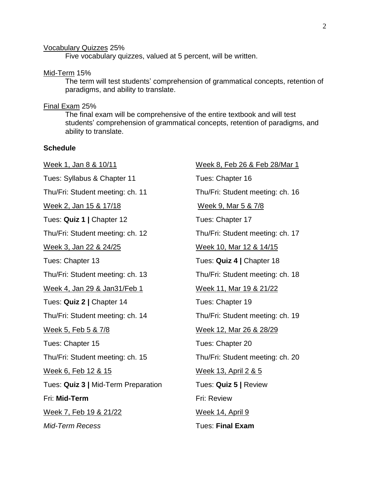#### Vocabulary Quizzes 25%

Five vocabulary quizzes, valued at 5 percent, will be written.

## Mid-Term 15%

The term will test students' comprehension of grammatical concepts, retention of paradigms, and ability to translate.

### Final Exam 25%

The final exam will be comprehensive of the entire textbook and will test students' comprehension of grammatical concepts, retention of paradigms, and ability to translate.

## **Schedule**

Week 1, Jan 8 & 10/11 Tues: Syllabus & Chapter 11 Thu/Fri: Student meeting: ch. 11 Week 2, Jan 15 & 17/18 Tues: **Quiz 1 |** Chapter 12 Thu/Fri: Student meeting: ch. 12 Week 3, Jan 22 & 24/25 Tues: Chapter 13 Thu/Fri: Student meeting: ch. 13 Week 4, Jan 29 & Jan31/Feb 1 Tues: **Quiz 2 |** Chapter 14 Thu/Fri: Student meeting: ch. 14 Week 5, Feb 5 & 7/8 Tues: Chapter 15 Thu/Fri: Student meeting: ch. 15 Week 6, Feb 12 & 15 Tues: **Quiz 3 |** Mid-Term Preparation Fri: **Mid-Term** Week 7, Feb 19 & 21/22 *Mid-Term Recess*

Week 8, Feb 26 & Feb 28/Mar 1 Tues: Chapter 16 Thu/Fri: Student meeting: ch. 16 Week 9, Mar 5 & 7/8 Tues: Chapter 17 Thu/Fri: Student meeting: ch. 17 Week 10, Mar 12 & 14/15 Tues: **Quiz 4 |** Chapter 18 Thu/Fri: Student meeting: ch. 18 Week 11, Mar 19 & 21/22 Tues: Chapter 19 Thu/Fri: Student meeting: ch. 19 Week 12, Mar 26 & 28/29 Tues: Chapter 20 Thu/Fri: Student meeting: ch. 20 Week 13, April 2 & 5 Tues: **Quiz 5 |** Review Fri: Review Week 14, April 9 Tues: **Final Exam**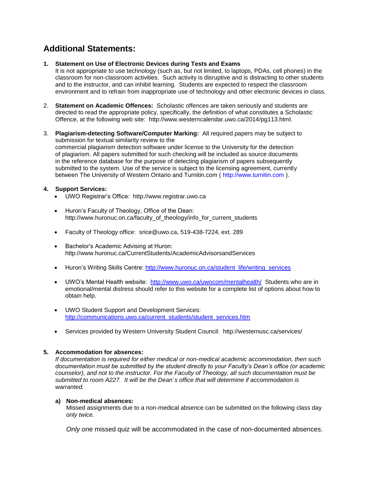## **Additional Statements:**

#### **1. Statement on Use of Electronic Devices during Tests and Exams**

It is not appropriate to use technology (such as, but not limited, to laptops, PDAs, cell phones) in the classroom for non-classroom activities. Such activity is disruptive and is distracting to other students and to the instructor, and can inhibit learning. Students are expected to respect the classroom environment and to refrain from inappropriate use of technology and other electronic devices in class.

- 2. **Statement on Academic Offences:** Scholastic offences are taken seriously and students are directed to read the appropriate policy, specifically, the definition of what constitutes a Scholastic Offence, at the following web site: http://www.westerncalendar.uwo.ca/2014/pg113.html.
- 3. **Plagiarism-detecting Software/Computer Marking:** All required papers may be subject to submission for textual similarity review to the commercial plagiarism detection software under license to the University for the detection of plagiarism. All papers submitted for such checking will be included as source documents in the reference database for the purpose of detecting plagiarism of papers subsequently submitted to the system. Use of the service is subject to the licensing agreement, currently between The University of Western Ontario and Turnitin.com ( http://www.turnitin.com ).

### **4. Support Services:**

- UWO Registrar's Office: http://www.registrar.uwo.ca
- Huron's Faculty of Theology, Office of the Dean: http://www.huronuc.on.ca/faculty\_of\_theology/info\_for\_current\_students
- Faculty of Theology office: srice@uwo.ca, 519-438-7224, ext. 289
- Bachelor's Academic Advising at Huron: http://www.huronuc.ca/CurrentStudents/AcademicAdvisorsandServices
- Huron's Writing Skills Centre: [http://www.huronuc.on.ca/student\\_life/writing\\_services](http://www.huronuc.on.ca/student_life/writing_services)
- UWO's Mental Health website: <http://www.uwo.ca/uwocom/mentalhealth/>Students who are in emotional/mental distress should refer to this website for a complete list of options about how to obtain help.
- UWO Student Support and Development Services: [http://communications.uwo.ca/current\\_students/student\\_services.htm](http://communications.uwo.ca/current_students/student_services.htm)
- Services provided by Western University Student Council: http://westernusc.ca/services/

### **5. Accommodation for absences:**

*If documentation is required for either medical or non-medical academic accommodation, then such documentation must be submitted by the student directly to your Faculty's Dean's office (or academic counselor), and not to the instructor. For the Faculty of Theology, all such documentation must be submitted to room A227. It will be the Dean`s office that will determine if accommodation is warranted.*

### **a) Non-medical absences:**

Missed assignments due to a non-medical absence can be submitted on the following class day *only twice.* 

*Only on*e missed quiz will be accommodated in the case of non-documented absences.